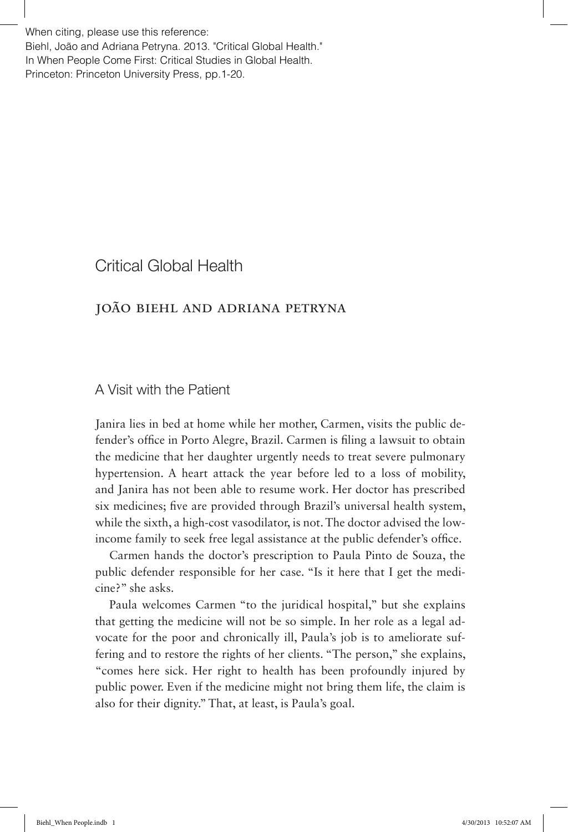When citing, please use this reference: Biehl, João and Adriana Petryna. 2013. "Critical Global Health." In When People Come First: Critical Studies in Global Health. Princeton: Princeton University Press, pp.1-20.

# Critical Global Health

# joão biehl and adriana petryna

# A Visit with the Patient

Janira lies in bed at home while her mother, Carmen, visits the public defender's office in Porto Alegre, Brazil. Carmen is filing a lawsuit to obtain the medicine that her daughter urgently needs to treat severe pulmonary hypertension. A heart attack the year before led to a loss of mobility, and Janira has not been able to resume work. Her doctor has prescribed six medicines; five are provided through Brazil's universal health system, while the sixth, a high-cost vasodilator, is not. The doctor advised the lowincome family to seek free legal assistance at the public defender's office.

Carmen hands the doctor's prescription to Paula Pinto de Souza, the public defender responsible for her case. "Is it here that I get the medicine?" she asks.

Paula welcomes Carmen "to the juridical hospital," but she explains that getting the medicine will not be so simple. In her role as a legal advocate for the poor and chronically ill, Paula's job is to ameliorate suffering and to restore the rights of her clients. "The person," she explains, "comes here sick. Her right to health has been profoundly injured by public power. Even if the medicine might not bring them life, the claim is also for their dignity." That, at least, is Paula's goal.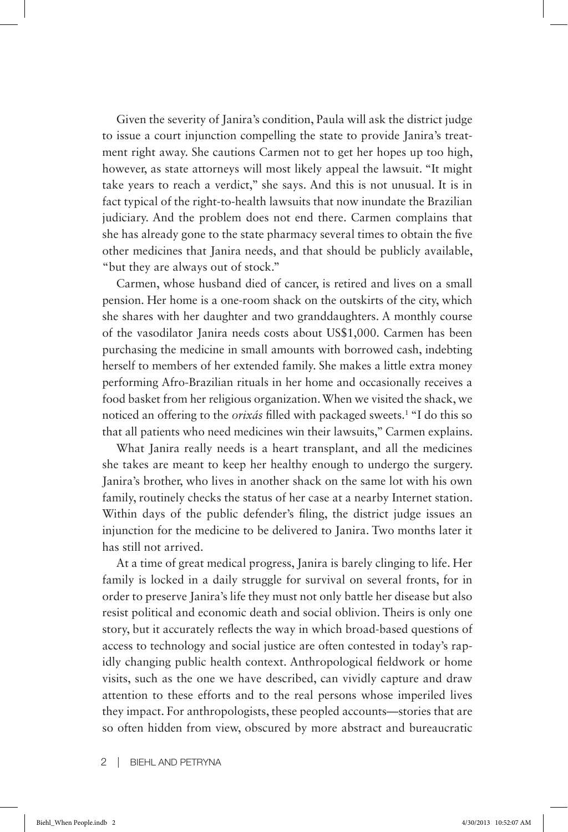Given the severity of Janira's condition, Paula will ask the district judge to issue a court injunction compelling the state to provide Janira's treatment right away. She cautions Carmen not to get her hopes up too high, however, as state attorneys will most likely appeal the lawsuit. "It might take years to reach a verdict," she says. And this is not unusual. It is in fact typical of the right-to-health lawsuits that now inundate the Brazilian judiciary. And the problem does not end there. Carmen complains that she has already gone to the state pharmacy several times to obtain the five other medicines that Janira needs, and that should be publicly available, "but they are always out of stock."

Carmen, whose husband died of cancer, is retired and lives on a small pension. Her home is a one-room shack on the outskirts of the city, which she shares with her daughter and two granddaughters. A monthly course of the vasodilator Janira needs costs about US\$1,000. Carmen has been purchasing the medicine in small amounts with borrowed cash, indebting herself to members of her extended family. She makes a little extra money performing Afro-Brazilian rituals in her home and occasionally receives a food basket from her religious organization. When we visited the shack, we noticed an offering to the *orixás* filled with packaged sweets.<sup>1</sup> "I do this so that all patients who need medicines win their lawsuits," Carmen explains.

What Janira really needs is a heart transplant, and all the medicines she takes are meant to keep her healthy enough to undergo the surgery. Janira's brother, who lives in another shack on the same lot with his own family, routinely checks the status of her case at a nearby Internet station. Within days of the public defender's filing, the district judge issues an injunction for the medicine to be delivered to Janira. Two months later it has still not arrived.

At a time of great medical progress, Janira is barely clinging to life. Her family is locked in a daily struggle for survival on several fronts, for in order to preserve Janira's life they must not only battle her disease but also resist political and economic death and social oblivion. Theirs is only one story, but it accurately reflects the way in which broad-based questions of access to technology and social justice are often contested in today's rapidly changing public health context. Anthropological fieldwork or home visits, such as the one we have described, can vividly capture and draw attention to these efforts and to the real persons whose imperiled lives they impact. For anthropologists, these peopled accounts—stories that are so often hidden from view, obscured by more abstract and bureaucratic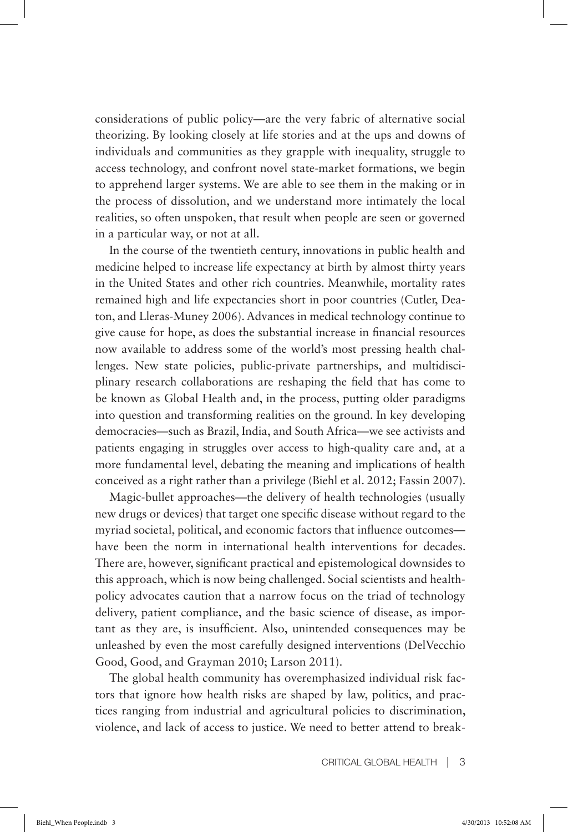considerations of public policy—are the very fabric of alternative social theorizing. By looking closely at life stories and at the ups and downs of individuals and communities as they grapple with inequality, struggle to access technology, and confront novel state-market formations, we begin to apprehend larger systems. We are able to see them in the making or in the process of dissolution, and we understand more intimately the local realities, so often unspoken, that result when people are seen or governed in a particular way, or not at all.

In the course of the twentieth century, innovations in public health and medicine helped to increase life expectancy at birth by almost thirty years in the United States and other rich countries. Meanwhile, mortality rates remained high and life expectancies short in poor countries (Cutler, Deaton, and Lleras-Muney 2006). Advances in medical technology continue to give cause for hope, as does the substantial increase in financial resources now available to address some of the world's most pressing health challenges. New state policies, public-private partnerships, and multidisciplinary research collaborations are reshaping the field that has come to be known as Global Health and, in the process, putting older paradigms into question and transforming realities on the ground. In key developing democracies—such as Brazil, India, and South Africa—we see activists and patients engaging in struggles over access to high-quality care and, at a more fundamental level, debating the meaning and implications of health conceived as a right rather than a privilege (Biehl et al. 2012; Fassin 2007).

Magic-bullet approaches—the delivery of health technologies (usually new drugs or devices) that target one specific disease without regard to the myriad societal, political, and economic factors that influence outcomes have been the norm in international health interventions for decades. There are, however, significant practical and epistemological downsides to this approach, which is now being challenged. Social scientists and healthpolicy advocates caution that a narrow focus on the triad of technology delivery, patient compliance, and the basic science of disease, as important as they are, is insufficient. Also, unintended consequences may be unleashed by even the most carefully designed interventions (DelVecchio Good, Good, and Grayman 2010; Larson 2011).

The global health community has overemphasized individual risk factors that ignore how health risks are shaped by law, politics, and practices ranging from industrial and agricultural policies to discrimination, violence, and lack of access to justice. We need to better attend to break-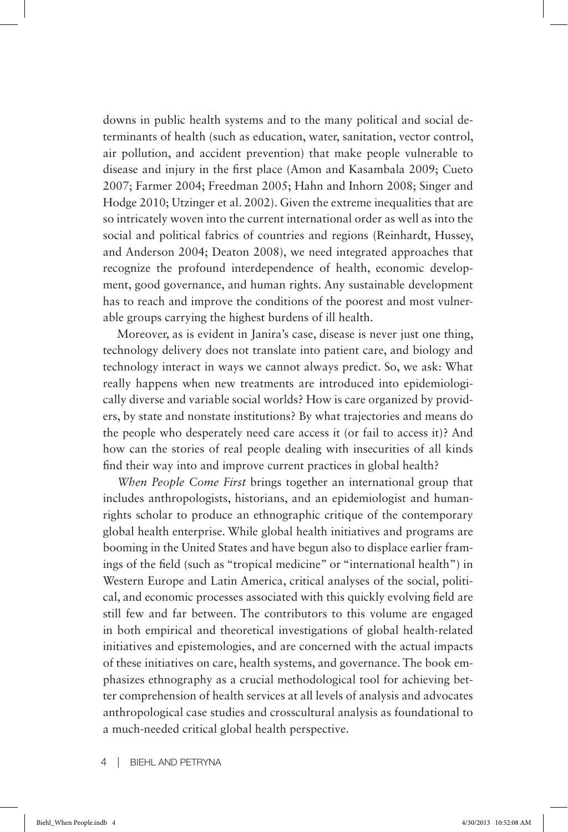downs in public health systems and to the many political and social determinants of health (such as education, water, sanitation, vector control, air pollution, and accident prevention) that make people vulnerable to disease and injury in the first place (Amon and Kasambala 2009; Cueto 2007; Farmer 2004; Freedman 2005; Hahn and Inhorn 2008; Singer and Hodge 2010; Utzinger et al. 2002). Given the extreme inequalities that are so intricately woven into the current international order as well as into the social and political fabrics of countries and regions (Reinhardt, Hussey, and Anderson 2004; Deaton 2008), we need integrated approaches that recognize the profound interdependence of health, economic development, good governance, and human rights. Any sustainable development has to reach and improve the conditions of the poorest and most vulnerable groups carrying the highest burdens of ill health.

Moreover, as is evident in Janira's case, disease is never just one thing, technology delivery does not translate into patient care, and biology and technology interact in ways we cannot always predict. So, we ask: What really happens when new treatments are introduced into epidemiologically diverse and variable social worlds? How is care organized by providers, by state and nonstate institutions? By what trajectories and means do the people who desperately need care access it (or fail to access it)? And how can the stories of real people dealing with insecurities of all kinds find their way into and improve current practices in global health?

*When People Come First* brings together an international group that includes anthropologists, historians, and an epidemiologist and humanrights scholar to produce an ethnographic critique of the contemporary global health enterprise. While global health initiatives and programs are booming in the United States and have begun also to displace earlier framings of the field (such as "tropical medicine" or "international health") in Western Europe and Latin America, critical analyses of the social, political, and economic processes associated with this quickly evolving field are still few and far between. The contributors to this volume are engaged in both empirical and theoretical investigations of global health-related initiatives and epistemologies, and are concerned with the actual impacts of these initiatives on care, health systems, and governance. The book emphasizes ethnography as a crucial methodological tool for achieving better comprehension of health services at all levels of analysis and advocates anthropological case studies and crosscultural analysis as foundational to a much-needed critical global health perspective.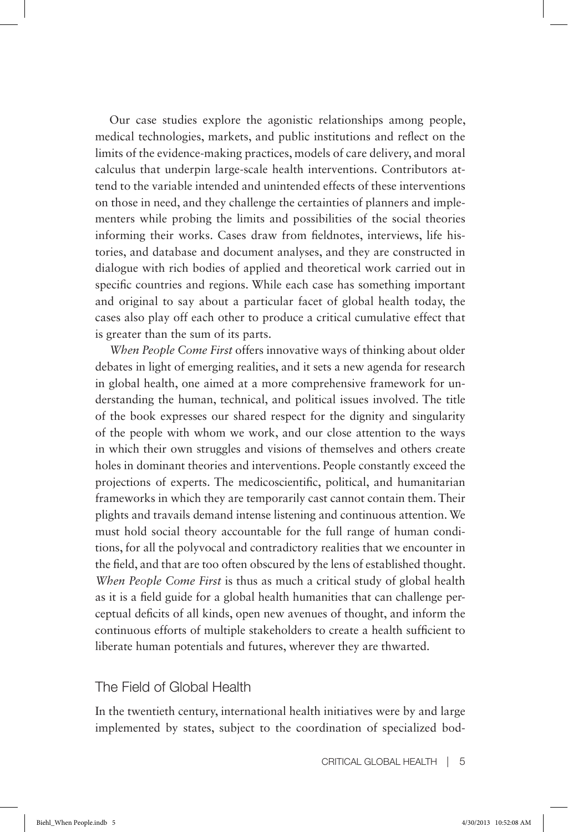Our case studies explore the agonistic relationships among people, medical technologies, markets, and public institutions and reflect on the limits of the evidence-making practices, models of care delivery, and moral calculus that underpin large-scale health interventions. Contributors attend to the variable intended and unintended effects of these interventions on those in need, and they challenge the certainties of planners and implementers while probing the limits and possibilities of the social theories informing their works. Cases draw from fieldnotes, interviews, life histories, and database and document analyses, and they are constructed in dialogue with rich bodies of applied and theoretical work carried out in specific countries and regions. While each case has something important and original to say about a particular facet of global health today, the cases also play off each other to produce a critical cumulative effect that is greater than the sum of its parts.

*When People Come First* offers innovative ways of thinking about older debates in light of emerging realities, and it sets a new agenda for research in global health, one aimed at a more comprehensive framework for understanding the human, technical, and political issues involved. The title of the book expresses our shared respect for the dignity and singularity of the people with whom we work, and our close attention to the ways in which their own struggles and visions of themselves and others create holes in dominant theories and interventions. People constantly exceed the projections of experts. The medicoscientific, political, and humanitarian frameworks in which they are temporarily cast cannot contain them. Their plights and travails demand intense listening and continuous attention. We must hold social theory accountable for the full range of human conditions, for all the polyvocal and contradictory realities that we encounter in the field, and that are too often obscured by the lens of established thought. *When People Come First* is thus as much a critical study of global health as it is a field guide for a global health humanities that can challenge perceptual deficits of all kinds, open new avenues of thought, and inform the continuous efforts of multiple stakeholders to create a health sufficient to liberate human potentials and futures, wherever they are thwarted.

# The Field of Global Health

In the twentieth century, international health initiatives were by and large implemented by states, subject to the coordination of specialized bod-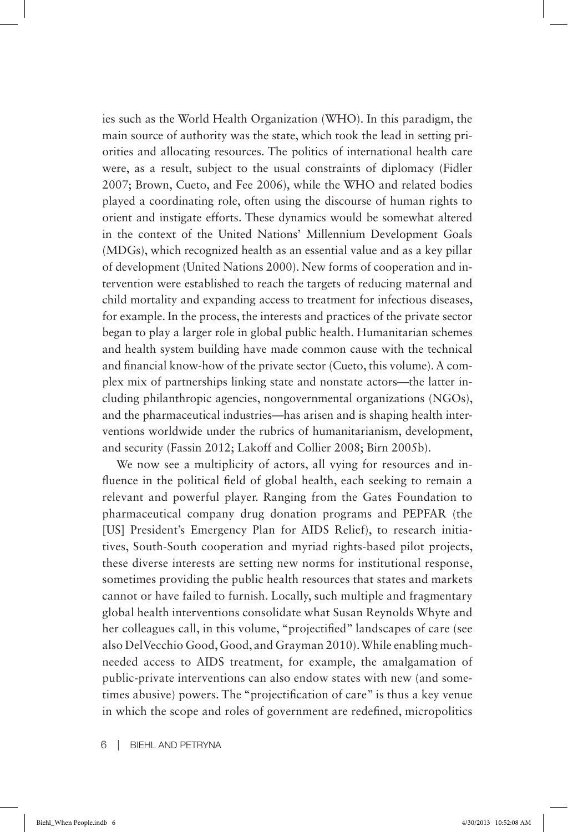ies such as the World Health Organization (WHO). In this paradigm, the main source of authority was the state, which took the lead in setting priorities and allocating resources. The politics of international health care were, as a result, subject to the usual constraints of diplomacy (Fidler 2007; Brown, Cueto, and Fee 2006), while the WHO and related bodies played a coordinating role, often using the discourse of human rights to orient and instigate efforts. These dynamics would be somewhat altered in the context of the United Nations' Millennium Development Goals (MDGs), which recognized health as an essential value and as a key pillar of development (United Nations 2000). New forms of cooperation and intervention were established to reach the targets of reducing maternal and child mortality and expanding access to treatment for infectious diseases, for example. In the process, the interests and practices of the private sector began to play a larger role in global public health. Humanitarian schemes and health system building have made common cause with the technical and financial know-how of the private sector (Cueto, this volume). A complex mix of partnerships linking state and nonstate actors—the latter including philanthropic agencies, nongovernmental organizations (NGOs), and the pharmaceutical industries—has arisen and is shaping health interventions worldwide under the rubrics of humanitarianism, development, and security (Fassin 2012; Lakoff and Collier 2008; Birn 2005b).

We now see a multiplicity of actors, all vying for resources and influence in the political field of global health, each seeking to remain a relevant and powerful player. Ranging from the Gates Foundation to pharmaceutical company drug donation programs and PEPFAR (the [US] President's Emergency Plan for AIDS Relief), to research initiatives, South-South cooperation and myriad rights-based pilot projects, these diverse interests are setting new norms for institutional response, sometimes providing the public health resources that states and markets cannot or have failed to furnish. Locally, such multiple and fragmentary global health interventions consolidate what Susan Reynolds Whyte and her colleagues call, in this volume, "projectified" landscapes of care (see also DelVecchio Good, Good, and Grayman 2010). While enabling muchneeded access to AIDS treatment, for example, the amalgamation of public-private interventions can also endow states with new (and sometimes abusive) powers. The "projectification of care" is thus a key venue in which the scope and roles of government are redefined, micropolitics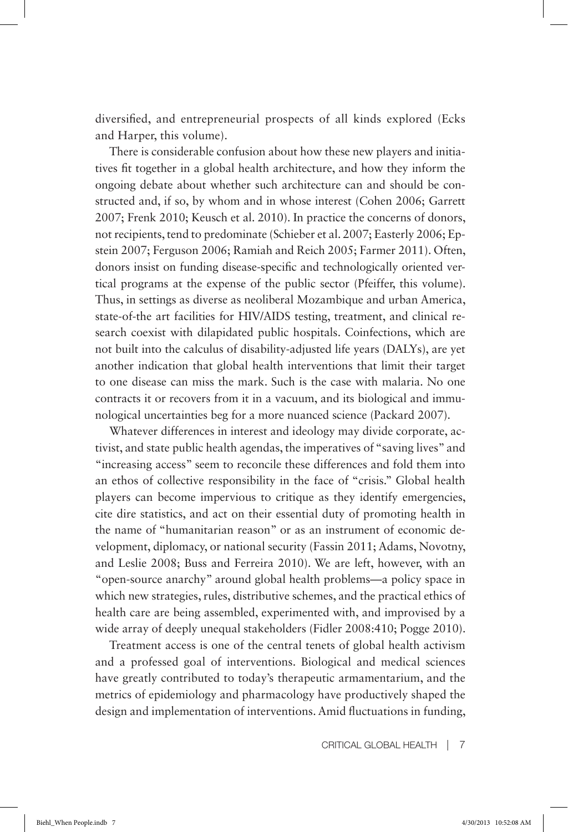diversified, and entrepreneurial prospects of all kinds explored (Ecks) and Harper, this volume).

There is considerable confusion about how these new players and initiatives fit together in a global health architecture, and how they inform the ongoing debate about whether such architecture can and should be constructed and, if so, by whom and in whose interest (Cohen 2006; Garrett 2007; Frenk 2010; Keusch et al. 2010). In practice the concerns of donors, not recipients, tend to predominate (Schieber et al. 2007; Easterly 2006; Epstein 2007; Ferguson 2006; Ramiah and Reich 2005; Farmer 2011). Often, donors insist on funding disease-specific and technologically oriented vertical programs at the expense of the public sector (Pfeiffer, this volume). Thus, in settings as diverse as neoliberal Mozambique and urban America, state-of-the art facilities for HIV/AIDS testing, treatment, and clinical research coexist with dilapidated public hospitals. Coinfections, which are not built into the calculus of disability-adjusted life years (DALYs), are yet another indication that global health interventions that limit their target to one disease can miss the mark. Such is the case with malaria. No one contracts it or recovers from it in a vacuum, and its biological and immunological uncertainties beg for a more nuanced science (Packard 2007).

Whatever differences in interest and ideology may divide corporate, activist, and state public health agendas, the imperatives of "saving lives" and "increasing access" seem to reconcile these differences and fold them into an ethos of collective responsibility in the face of "crisis." Global health players can become impervious to critique as they identify emergencies, cite dire statistics, and act on their essential duty of promoting health in the name of "humanitarian reason" or as an instrument of economic development, diplomacy, or national security (Fassin 2011; Adams, Novotny, and Leslie 2008; Buss and Ferreira 2010). We are left, however, with an "open-source anarchy" around global health problems—a policy space in which new strategies, rules, distributive schemes, and the practical ethics of health care are being assembled, experimented with, and improvised by a wide array of deeply unequal stakeholders (Fidler 2008:410; Pogge 2010).

Treatment access is one of the central tenets of global health activism and a professed goal of interventions. Biological and medical sciences have greatly contributed to today's therapeutic armamentarium, and the metrics of epidemiology and pharmacology have productively shaped the design and implementation of interventions. Amid fluctuations in funding,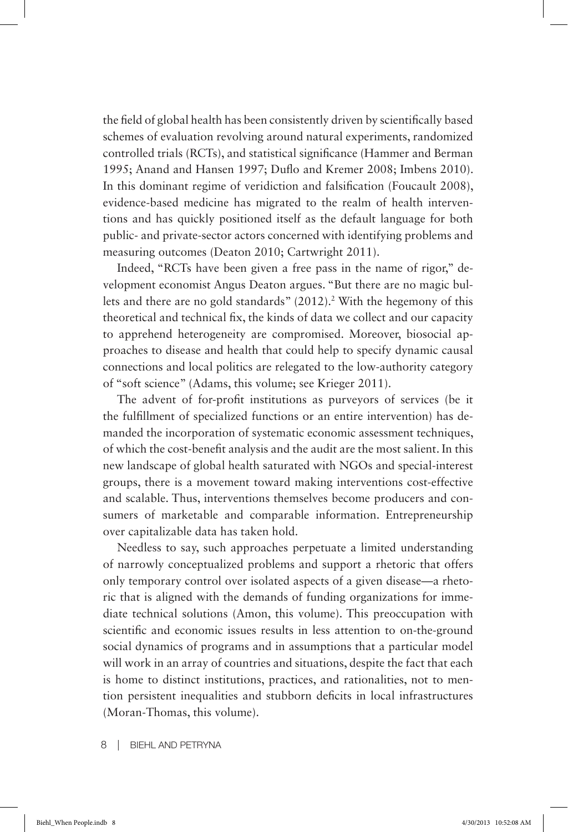the field of global health has been consistently driven by scientifically based schemes of evaluation revolving around natural experiments, randomized controlled trials (RCTs), and statistical significance (Hammer and Berman 1995; Anand and Hansen 1997; Du1o and Kremer 2008; Imbens 2010). In this dominant regime of veridiction and falsification (Foucault 2008), evidence-based medicine has migrated to the realm of health interventions and has quickly positioned itself as the default language for both public- and private-sector actors concerned with identifying problems and measuring outcomes (Deaton 2010; Cartwright 2011).

Indeed, "RCTs have been given a free pass in the name of rigor," development economist Angus Deaton argues. "But there are no magic bullets and there are no gold standards" (2012).<sup>2</sup> With the hegemony of this theoretical and technical fix, the kinds of data we collect and our capacity to apprehend heterogeneity are compromised. Moreover, biosocial approaches to disease and health that could help to specify dynamic causal connections and local politics are relegated to the low-authority category of "soft science" (Adams, this volume; see Krieger 2011).

The advent of for-profit institutions as purveyors of services (be it the fulfillment of specialized functions or an entire intervention) has demanded the incorporation of systematic economic assessment techniques, of which the cost-benefit analysis and the audit are the most salient. In this new landscape of global health saturated with NGOs and special-interest groups, there is a movement toward making interventions cost-effective and scalable. Thus, interventions themselves become producers and consumers of marketable and comparable information. Entrepreneurship over capitalizable data has taken hold.

Needless to say, such approaches perpetuate a limited understanding of narrowly conceptualized problems and support a rhetoric that offers only temporary control over isolated aspects of a given disease—a rhetoric that is aligned with the demands of funding organizations for immediate technical solutions (Amon, this volume). This preoccupation with scientific and economic issues results in less attention to on-the-ground social dynamics of programs and in assumptions that a particular model will work in an array of countries and situations, despite the fact that each is home to distinct institutions, practices, and rationalities, not to mention persistent inequalities and stubborn deficits in local infrastructures (Moran-Thomas, this volume).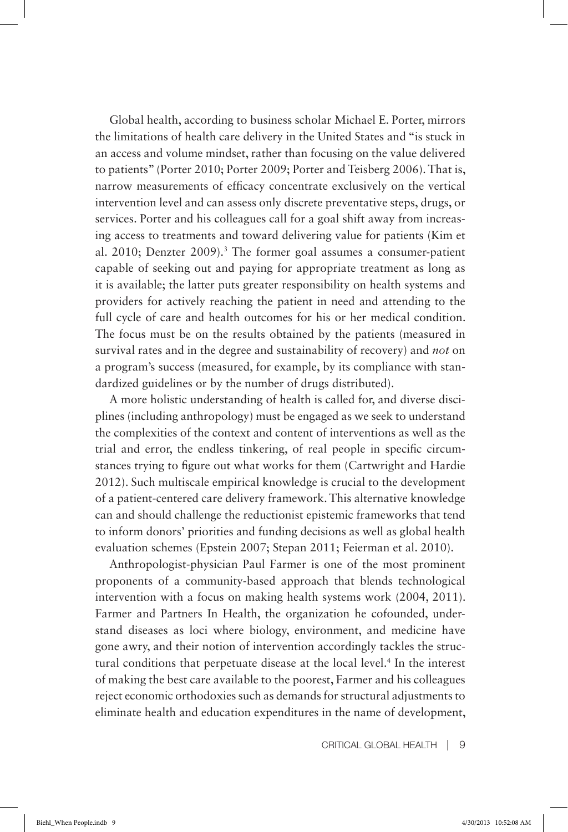Global health, according to business scholar Michael E. Porter, mirrors the limitations of health care delivery in the United States and "is stuck in an access and volume mindset, rather than focusing on the value delivered to patients" (Porter 2010; Porter 2009; Porter and Teisberg 2006). That is, narrow measurements of efficacy concentrate exclusively on the vertical intervention level and can assess only discrete preventative steps, drugs, or services. Porter and his colleagues call for a goal shift away from increasing access to treatments and toward delivering value for patients (Kim et al. 2010; Denzter 2009).3 The former goal assumes a consumer-patient capable of seeking out and paying for appropriate treatment as long as it is available; the latter puts greater responsibility on health systems and providers for actively reaching the patient in need and attending to the full cycle of care and health outcomes for his or her medical condition. The focus must be on the results obtained by the patients (measured in survival rates and in the degree and sustainability of recovery) and *not* on a program's success (measured, for example, by its compliance with standardized guidelines or by the number of drugs distributed).

A more holistic understanding of health is called for, and diverse disciplines (including anthropology) must be engaged as we seek to understand the complexities of the context and content of interventions as well as the trial and error, the endless tinkering, of real people in specific circumstances trying to figure out what works for them (Cartwright and Hardie 2012). Such multiscale empirical knowledge is crucial to the development of a patient-centered care delivery framework. This alternative knowledge can and should challenge the reductionist epistemic frameworks that tend to inform donors' priorities and funding decisions as well as global health evaluation schemes (Epstein 2007; Stepan 2011; Feierman et al. 2010).

Anthropologist-physician Paul Farmer is one of the most prominent proponents of a community-based approach that blends technological intervention with a focus on making health systems work (2004, 2011). Farmer and Partners In Health, the organization he cofounded, understand diseases as loci where biology, environment, and medicine have gone awry, and their notion of intervention accordingly tackles the structural conditions that perpetuate disease at the local level.<sup>4</sup> In the interest of making the best care available to the poorest, Farmer and his colleagues reject economic orthodoxies such as demands for structural adjustments to eliminate health and education expenditures in the name of development,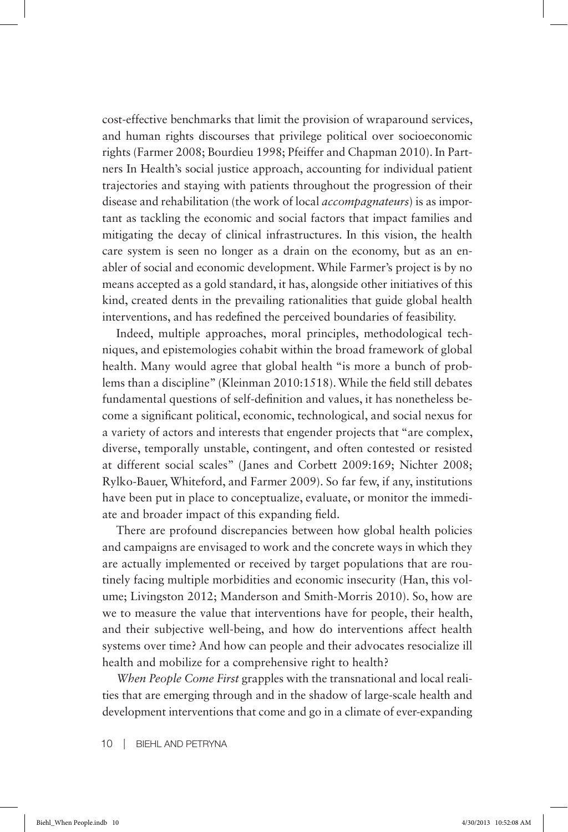cost-effective benchmarks that limit the provision of wraparound services, and human rights discourses that privilege political over socioeconomic rights (Farmer 2008; Bourdieu 1998; Pfeiffer and Chapman 2010). In Partners In Health's social justice approach, accounting for individual patient trajectories and staying with patients throughout the progression of their disease and rehabilitation (the work of local *accompagnateurs*) is as important as tackling the economic and social factors that impact families and mitigating the decay of clinical infrastructures. In this vision, the health care system is seen no longer as a drain on the economy, but as an enabler of social and economic development. While Farmer's project is by no means accepted as a gold standard, it has, alongside other initiatives of this kind, created dents in the prevailing rationalities that guide global health interventions, and has redefined the perceived boundaries of feasibility.

Indeed, multiple approaches, moral principles, methodological techniques, and epistemologies cohabit within the broad framework of global health. Many would agree that global health "is more a bunch of problems than a discipline" (Kleinman 2010:1518). While the field still debates fundamental questions of self-definition and values, it has nonetheless become a significant political, economic, technological, and social nexus for a variety of actors and interests that engender projects that "are complex, diverse, temporally unstable, contingent, and often contested or resisted at different social scales" (Janes and Corbett 2009:169; Nichter 2008; Rylko-Bauer, Whiteford, and Farmer 2009). So far few, if any, institutions have been put in place to conceptualize, evaluate, or monitor the immediate and broader impact of this expanding field.

There are profound discrepancies between how global health policies and campaigns are envisaged to work and the concrete ways in which they are actually implemented or received by target populations that are routinely facing multiple morbidities and economic insecurity (Han, this volume; Livingston 2012; Manderson and Smith-Morris 2010). So, how are we to measure the value that interventions have for people, their health, and their subjective well-being, and how do interventions affect health systems over time? And how can people and their advocates resocialize ill health and mobilize for a comprehensive right to health?

*When People Come First* grapples with the transnational and local realities that are emerging through and in the shadow of large-scale health and development interventions that come and go in a climate of ever-expanding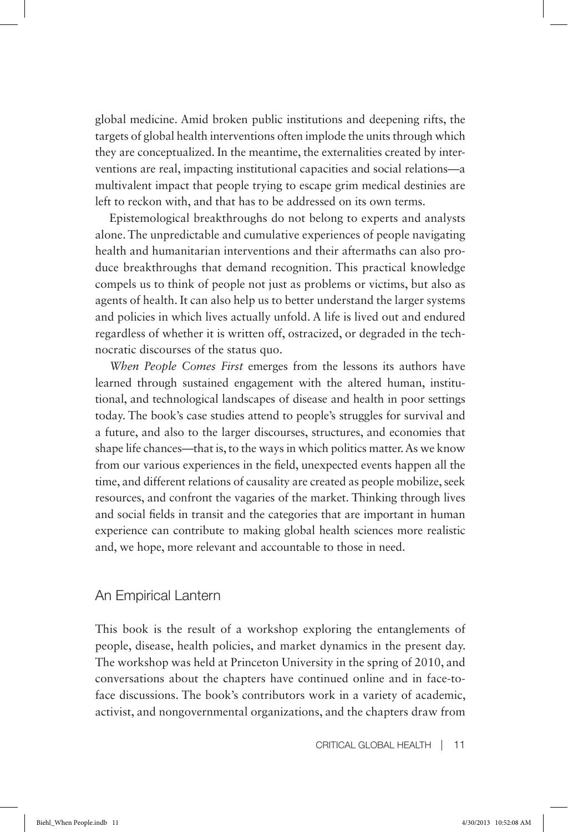global medicine. Amid broken public institutions and deepening rifts, the targets of global health interventions often implode the units through which they are conceptualized. In the meantime, the externalities created by interventions are real, impacting institutional capacities and social relations—a multivalent impact that people trying to escape grim medical destinies are left to reckon with, and that has to be addressed on its own terms.

Epistemological breakthroughs do not belong to experts and analysts alone. The unpredictable and cumulative experiences of people navigating health and humanitarian interventions and their aftermaths can also produce breakthroughs that demand recognition. This practical knowledge compels us to think of people not just as problems or victims, but also as agents of health. It can also help us to better understand the larger systems and policies in which lives actually unfold. A life is lived out and endured regardless of whether it is written off, ostracized, or degraded in the technocratic discourses of the status quo.

*When People Comes First* emerges from the lessons its authors have learned through sustained engagement with the altered human, institutional, and technological landscapes of disease and health in poor settings today. The book's case studies attend to people's struggles for survival and a future, and also to the larger discourses, structures, and economies that shape life chances—that is, to the ways in which politics matter. As we know from our various experiences in the field, unexpected events happen all the time, and different relations of causality are created as people mobilize, seek resources, and confront the vagaries of the market. Thinking through lives and social fields in transit and the categories that are important in human experience can contribute to making global health sciences more realistic and, we hope, more relevant and accountable to those in need.

## An Empirical Lantern

This book is the result of a workshop exploring the entanglements of people, disease, health policies, and market dynamics in the present day. The workshop was held at Princeton University in the spring of 2010, and conversations about the chapters have continued online and in face-toface discussions. The book's contributors work in a variety of academic, activist, and nongovernmental organizations, and the chapters draw from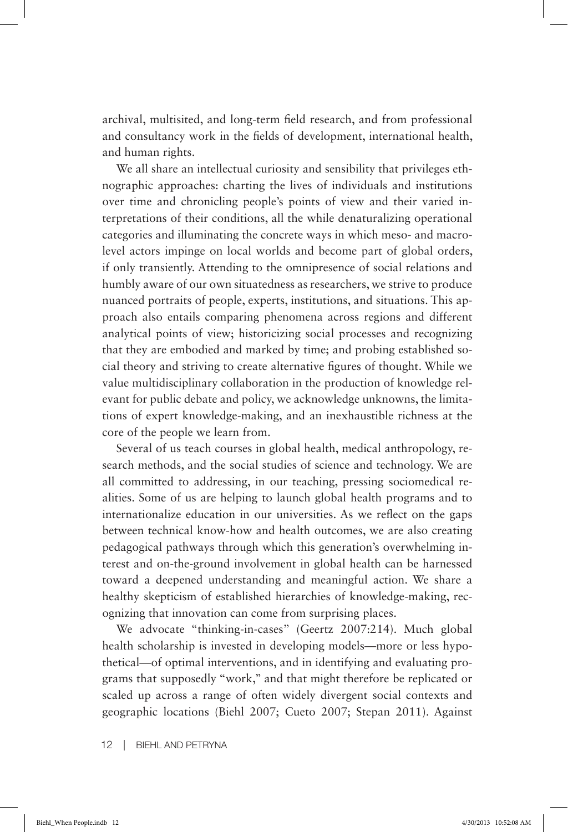archival, multisited, and long-term field research, and from professional and consultancy work in the fields of development, international health, and human rights.

We all share an intellectual curiosity and sensibility that privileges ethnographic approaches: charting the lives of individuals and institutions over time and chronicling people's points of view and their varied interpretations of their conditions, all the while denaturalizing operational categories and illuminating the concrete ways in which meso- and macrolevel actors impinge on local worlds and become part of global orders, if only transiently. Attending to the omnipresence of social relations and humbly aware of our own situatedness as researchers, we strive to produce nuanced portraits of people, experts, institutions, and situations. This approach also entails comparing phenomena across regions and different analytical points of view; historicizing social processes and recognizing that they are embodied and marked by time; and probing established social theory and striving to create alternative figures of thought. While we value multidisciplinary collaboration in the production of knowledge relevant for public debate and policy, we acknowledge unknowns, the limitations of expert knowledge-making, and an inexhaustible richness at the core of the people we learn from.

Several of us teach courses in global health, medical anthropology, research methods, and the social studies of science and technology. We are all committed to addressing, in our teaching, pressing sociomedical realities. Some of us are helping to launch global health programs and to internationalize education in our universities. As we reflect on the gaps between technical know-how and health outcomes, we are also creating pedagogical pathways through which this generation's overwhelming interest and on-the-ground involvement in global health can be harnessed toward a deepened understanding and meaningful action. We share a healthy skepticism of established hierarchies of knowledge-making, recognizing that innovation can come from surprising places.

We advocate "thinking-in-cases" (Geertz 2007:214). Much global health scholarship is invested in developing models—more or less hypothetical—of optimal interventions, and in identifying and evaluating programs that supposedly "work," and that might therefore be replicated or scaled up across a range of often widely divergent social contexts and geographic locations (Biehl 2007; Cueto 2007; Stepan 2011). Against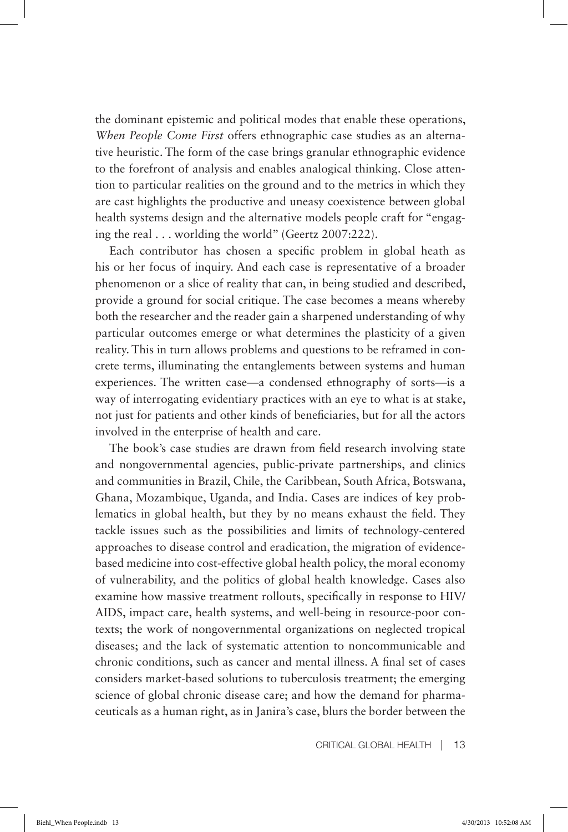the dominant epistemic and political modes that enable these operations, *When People Come First* offers ethnographic case studies as an alternative heuristic. The form of the case brings granular ethnographic evidence to the forefront of analysis and enables analogical thinking. Close attention to particular realities on the ground and to the metrics in which they are cast highlights the productive and uneasy coexistence between global health systems design and the alternative models people craft for "engaging the real . . . worlding the world" (Geertz 2007:222).

Each contributor has chosen a specific problem in global heath as his or her focus of inquiry. And each case is representative of a broader phenomenon or a slice of reality that can, in being studied and described, provide a ground for social critique. The case becomes a means whereby both the researcher and the reader gain a sharpened understanding of why particular outcomes emerge or what determines the plasticity of a given reality. This in turn allows problems and questions to be reframed in concrete terms, illuminating the entanglements between systems and human experiences. The written case—a condensed ethnography of sorts—is a way of interrogating evidentiary practices with an eye to what is at stake, not just for patients and other kinds of beneficiaries, but for all the actors involved in the enterprise of health and care.

The book's case studies are drawn from field research involving state and nongovernmental agencies, public-private partnerships, and clinics and communities in Brazil, Chile, the Caribbean, South Africa, Botswana, Ghana, Mozambique, Uganda, and India. Cases are indices of key problematics in global health, but they by no means exhaust the field. They tackle issues such as the possibilities and limits of technology-centered approaches to disease control and eradication, the migration of evidencebased medicine into cost-effective global health policy, the moral economy of vulnerability, and the politics of global health knowledge. Cases also examine how massive treatment rollouts, specifically in response to HIV/ AIDS, impact care, health systems, and well-being in resource-poor contexts; the work of nongovernmental organizations on neglected tropical diseases; and the lack of systematic attention to noncommunicable and chronic conditions, such as cancer and mental illness. A final set of cases considers market-based solutions to tuberculosis treatment; the emerging science of global chronic disease care; and how the demand for pharmaceuticals as a human right, as in Janira's case, blurs the border between the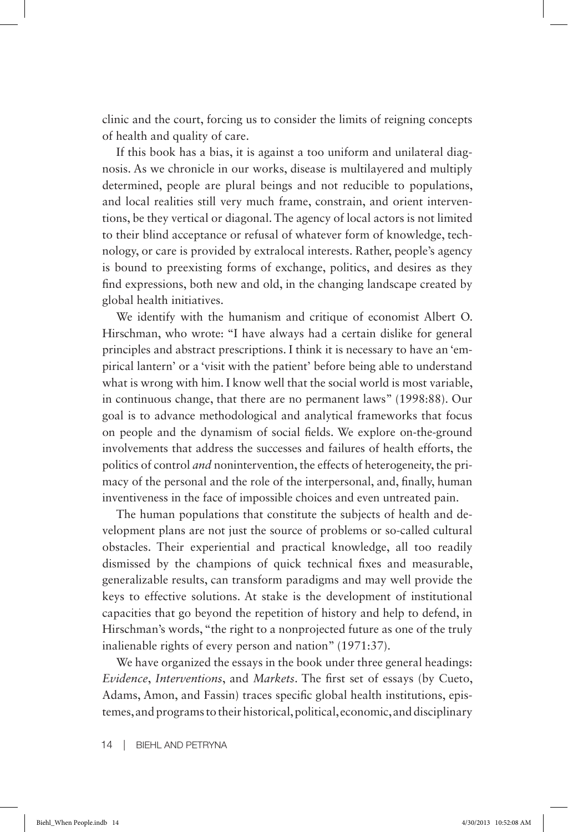clinic and the court, forcing us to consider the limits of reigning concepts of health and quality of care.

If this book has a bias, it is against a too uniform and unilateral diagnosis. As we chronicle in our works, disease is multilayered and multiply determined, people are plural beings and not reducible to populations, and local realities still very much frame, constrain, and orient interventions, be they vertical or diagonal. The agency of local actors is not limited to their blind acceptance or refusal of whatever form of knowledge, technology, or care is provided by extralocal interests. Rather, people's agency is bound to preexisting forms of exchange, politics, and desires as they find expressions, both new and old, in the changing landscape created by global health initiatives.

We identify with the humanism and critique of economist Albert O. Hirschman, who wrote: "I have always had a certain dislike for general principles and abstract prescriptions. I think it is necessary to have an 'empirical lantern' or a 'visit with the patient' before being able to understand what is wrong with him. I know well that the social world is most variable, in continuous change, that there are no permanent laws" (1998:88). Our goal is to advance methodological and analytical frameworks that focus on people and the dynamism of social fields. We explore on-the-ground involvements that address the successes and failures of health efforts, the politics of control *and* nonintervention, the effects of heterogeneity, the primacy of the personal and the role of the interpersonal, and, finally, human inventiveness in the face of impossible choices and even untreated pain.

The human populations that constitute the subjects of health and development plans are not just the source of problems or so-called cultural obstacles. Their experiential and practical knowledge, all too readily dismissed by the champions of quick technical fixes and measurable, generalizable results, can transform paradigms and may well provide the keys to effective solutions. At stake is the development of institutional capacities that go beyond the repetition of history and help to defend, in Hirschman's words, "the right to a nonprojected future as one of the truly inalienable rights of every person and nation" (1971:37).

We have organized the essays in the book under three general headings: *Evidence*, *Interventions*, and *Markets*. The first set of essays (by Cueto, Adams, Amon, and Fassin) traces specific global health institutions, epistemes, and programs to their historical, political, economic, and disciplinary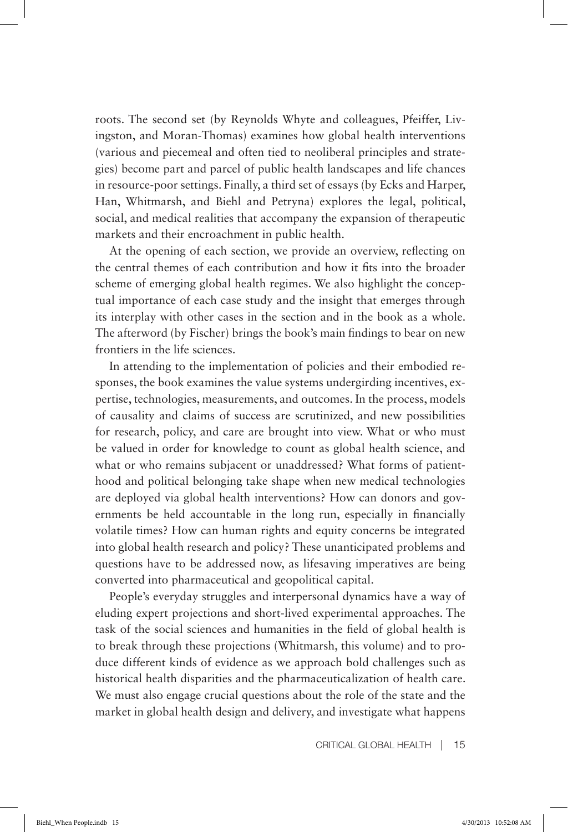roots. The second set (by Reynolds Whyte and colleagues, Pfeiffer, Livingston, and Moran-Thomas) examines how global health interventions (various and piecemeal and often tied to neoliberal principles and strategies) become part and parcel of public health landscapes and life chances in resource-poor settings. Finally, a third set of essays (by Ecks and Harper, Han, Whitmarsh, and Biehl and Petryna) explores the legal, political, social, and medical realities that accompany the expansion of therapeutic markets and their encroachment in public health.

At the opening of each section, we provide an overview, reflecting on the central themes of each contribution and how it fits into the broader scheme of emerging global health regimes. We also highlight the conceptual importance of each case study and the insight that emerges through its interplay with other cases in the section and in the book as a whole. The afterword (by Fischer) brings the book's main findings to bear on new frontiers in the life sciences.

In attending to the implementation of policies and their embodied responses, the book examines the value systems undergirding incentives, expertise, technologies, measurements, and outcomes. In the process, models of causality and claims of success are scrutinized, and new possibilities for research, policy, and care are brought into view. What or who must be valued in order for knowledge to count as global health science, and what or who remains subjacent or unaddressed? What forms of patienthood and political belonging take shape when new medical technologies are deployed via global health interventions? How can donors and governments be held accountable in the long run, especially in financially volatile times? How can human rights and equity concerns be integrated into global health research and policy? These unanticipated problems and questions have to be addressed now, as lifesaving imperatives are being converted into pharmaceutical and geopolitical capital.

People's everyday struggles and interpersonal dynamics have a way of eluding expert projections and short-lived experimental approaches. The task of the social sciences and humanities in the field of global health is to break through these projections (Whitmarsh, this volume) and to produce different kinds of evidence as we approach bold challenges such as historical health disparities and the pharmaceuticalization of health care. We must also engage crucial questions about the role of the state and the market in global health design and delivery, and investigate what happens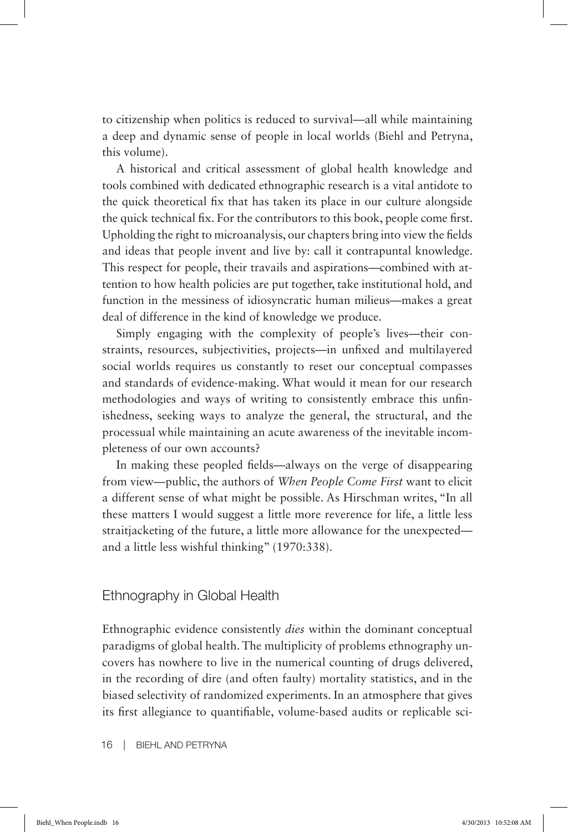to citizenship when politics is reduced to survival—all while maintaining a deep and dynamic sense of people in local worlds (Biehl and Petryna, this volume).

A historical and critical assessment of global health knowledge and tools combined with dedicated ethnographic research is a vital antidote to the quick theoretical fix that has taken its place in our culture alongside the quick technical fix. For the contributors to this book, people come first. Upholding the right to microanalysis, our chapters bring into view the fields and ideas that people invent and live by: call it contrapuntal knowledge. This respect for people, their travails and aspirations—combined with attention to how health policies are put together, take institutional hold, and function in the messiness of idiosyncratic human milieus—makes a great deal of difference in the kind of knowledge we produce.

Simply engaging with the complexity of people's lives—their constraints, resources, subjectivities, projects—in unfixed and multilayered social worlds requires us constantly to reset our conceptual compasses and standards of evidence-making. What would it mean for our research methodologies and ways of writing to consistently embrace this unfinishedness, seeking ways to analyze the general, the structural, and the processual while maintaining an acute awareness of the inevitable incompleteness of our own accounts?

In making these peopled fields—always on the verge of disappearing from view—public, the authors of *When People Come First* want to elicit a different sense of what might be possible. As Hirschman writes, "In all these matters I would suggest a little more reverence for life, a little less straitjacketing of the future, a little more allowance for the unexpected and a little less wishful thinking" (1970:338).

## Ethnography in Global Health

Ethnographic evidence consistently *dies* within the dominant conceptual paradigms of global health. The multiplicity of problems ethnography uncovers has nowhere to live in the numerical counting of drugs delivered, in the recording of dire (and often faulty) mortality statistics, and in the biased selectivity of randomized experiments. In an atmosphere that gives its first allegiance to quantifiable, volume-based audits or replicable sci-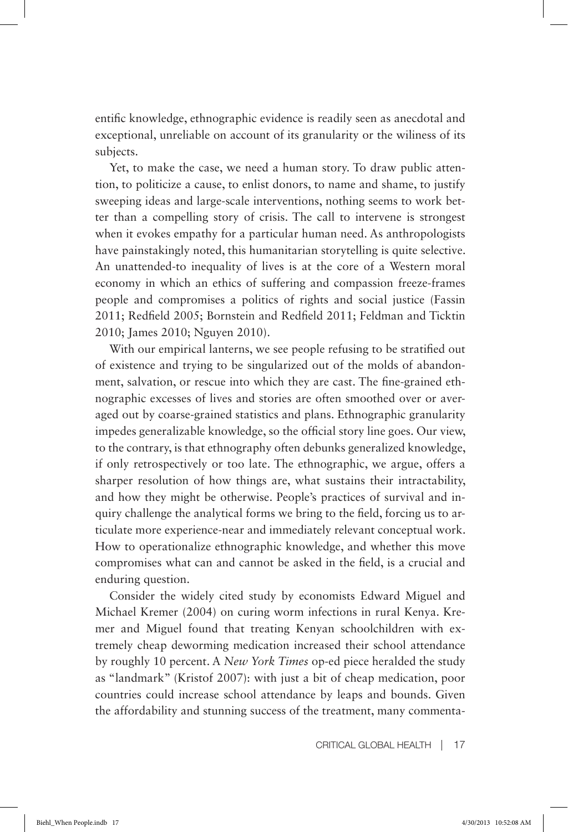entific knowledge, ethnographic evidence is readily seen as anecdotal and exceptional, unreliable on account of its granularity or the wiliness of its subjects.

Yet, to make the case, we need a human story. To draw public attention, to politicize a cause, to enlist donors, to name and shame, to justify sweeping ideas and large-scale interventions, nothing seems to work better than a compelling story of crisis. The call to intervene is strongest when it evokes empathy for a particular human need. As anthropologists have painstakingly noted, this humanitarian storytelling is quite selective. An unattended-to inequality of lives is at the core of a Western moral economy in which an ethics of suffering and compassion freeze-frames people and compromises a politics of rights and social justice (Fassin 2011; Redfield 2005; Bornstein and Redfield 2011; Feldman and Ticktin 2010; James 2010; Nguyen 2010).

With our empirical lanterns, we see people refusing to be stratified out of existence and trying to be singularized out of the molds of abandonment, salvation, or rescue into which they are cast. The fine-grained ethnographic excesses of lives and stories are often smoothed over or averaged out by coarse-grained statistics and plans. Ethnographic granularity impedes generalizable knowledge, so the official story line goes. Our view, to the contrary, is that ethnography often debunks generalized knowledge, if only retrospectively or too late. The ethnographic, we argue, offers a sharper resolution of how things are, what sustains their intractability, and how they might be otherwise. People's practices of survival and inquiry challenge the analytical forms we bring to the field, forcing us to articulate more experience-near and immediately relevant conceptual work. How to operationalize ethnographic knowledge, and whether this move compromises what can and cannot be asked in the field, is a crucial and enduring question.

Consider the widely cited study by economists Edward Miguel and Michael Kremer (2004) on curing worm infections in rural Kenya. Kremer and Miguel found that treating Kenyan schoolchildren with extremely cheap deworming medication increased their school attendance by roughly 10 percent. A *New York Times* op-ed piece heralded the study as "landmark" (Kristof 2007): with just a bit of cheap medication, poor countries could increase school attendance by leaps and bounds. Given the affordability and stunning success of the treatment, many commenta-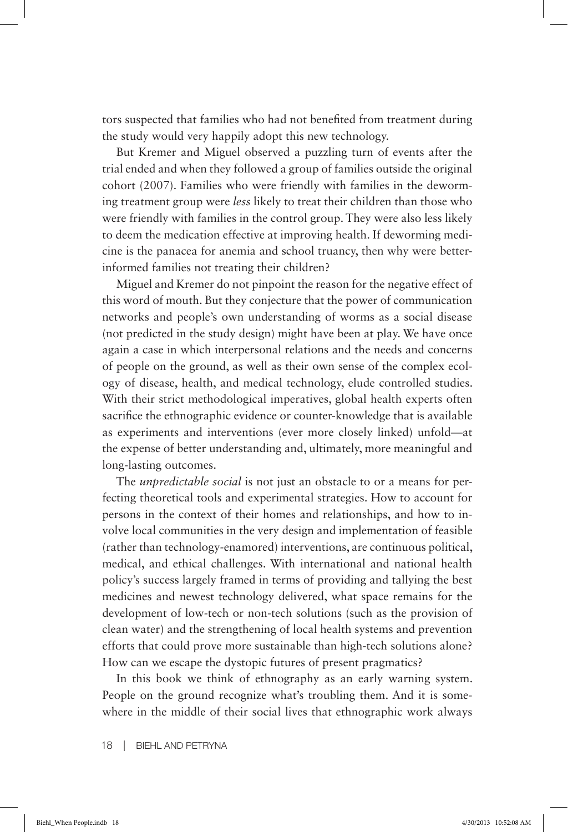tors suspected that families who had not benefited from treatment during the study would very happily adopt this new technology.

But Kremer and Miguel observed a puzzling turn of events after the trial ended and when they followed a group of families outside the original cohort (2007). Families who were friendly with families in the deworming treatment group were *less* likely to treat their children than those who were friendly with families in the control group. They were also less likely to deem the medication effective at improving health. If deworming medicine is the panacea for anemia and school truancy, then why were betterinformed families not treating their children?

Miguel and Kremer do not pinpoint the reason for the negative effect of this word of mouth. But they conjecture that the power of communication networks and people's own understanding of worms as a social disease (not predicted in the study design) might have been at play. We have once again a case in which interpersonal relations and the needs and concerns of people on the ground, as well as their own sense of the complex ecology of disease, health, and medical technology, elude controlled studies. With their strict methodological imperatives, global health experts often sacrifice the ethnographic evidence or counter-knowledge that is available as experiments and interventions (ever more closely linked) unfold—at the expense of better understanding and, ultimately, more meaningful and long-lasting outcomes.

The *unpredictable social* is not just an obstacle to or a means for perfecting theoretical tools and experimental strategies. How to account for persons in the context of their homes and relationships, and how to involve local communities in the very design and implementation of feasible (rather than technology-enamored) interventions, are continuous political, medical, and ethical challenges. With international and national health policy's success largely framed in terms of providing and tallying the best medicines and newest technology delivered, what space remains for the development of low-tech or non-tech solutions (such as the provision of clean water) and the strengthening of local health systems and prevention efforts that could prove more sustainable than high-tech solutions alone? How can we escape the dystopic futures of present pragmatics?

In this book we think of ethnography as an early warning system. People on the ground recognize what's troubling them. And it is somewhere in the middle of their social lives that ethnographic work always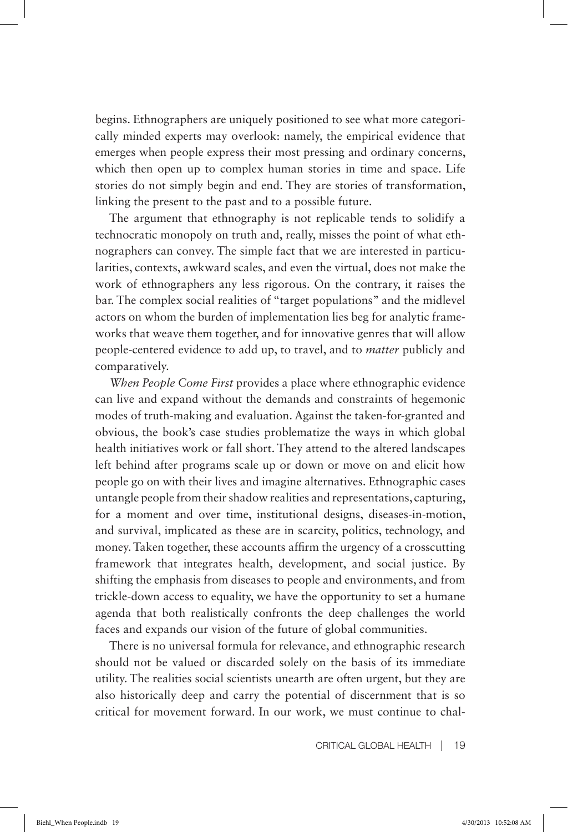begins. Ethnographers are uniquely positioned to see what more categorically minded experts may overlook: namely, the empirical evidence that emerges when people express their most pressing and ordinary concerns, which then open up to complex human stories in time and space. Life stories do not simply begin and end. They are stories of transformation, linking the present to the past and to a possible future.

The argument that ethnography is not replicable tends to solidify a technocratic monopoly on truth and, really, misses the point of what ethnographers can convey. The simple fact that we are interested in particularities, contexts, awkward scales, and even the virtual, does not make the work of ethnographers any less rigorous. On the contrary, it raises the bar. The complex social realities of "target populations" and the midlevel actors on whom the burden of implementation lies beg for analytic frameworks that weave them together, and for innovative genres that will allow people-centered evidence to add up, to travel, and to *matter* publicly and comparatively.

*When People Come First* provides a place where ethnographic evidence can live and expand without the demands and constraints of hegemonic modes of truth-making and evaluation. Against the taken-for-granted and obvious, the book's case studies problematize the ways in which global health initiatives work or fall short. They attend to the altered landscapes left behind after programs scale up or down or move on and elicit how people go on with their lives and imagine alternatives. Ethnographic cases untangle people from their shadow realities and representations, capturing, for a moment and over time, institutional designs, diseases-in-motion, and survival, implicated as these are in scarcity, politics, technology, and money. Taken together, these accounts affirm the urgency of a crosscutting framework that integrates health, development, and social justice. By shifting the emphasis from diseases to people and environments, and from trickle-down access to equality, we have the opportunity to set a humane agenda that both realistically confronts the deep challenges the world faces and expands our vision of the future of global communities.

There is no universal formula for relevance, and ethnographic research should not be valued or discarded solely on the basis of its immediate utility. The realities social scientists unearth are often urgent, but they are also historically deep and carry the potential of discernment that is so critical for movement forward. In our work, we must continue to chal-